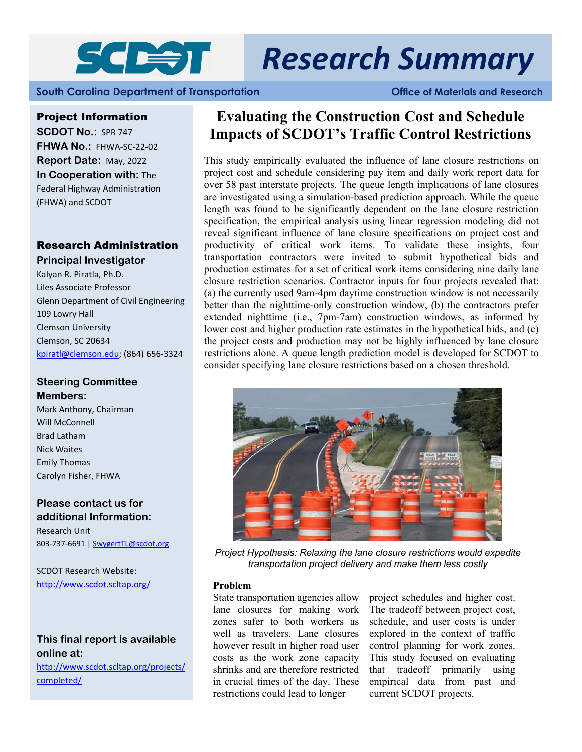

# *Research Summary*

**South Carolina Department of Transportation Office of Materials and Research** 

#### Project Information

**SCDOT No.: SPR 747 FHWA No.:** FHWA‐SC‐22‐02 **Report Date:** May, 2022 **In Cooperation with:** The Federal Highway Administration (FHWA) and SCDOT

# Research Administration

#### **Principal Investigator**

Kalyan R. Piratla, Ph.D. Liles Associate Professor Glenn Department of Civil Engineering 109 Lowry Hall Clemson University Clemson, SC 20634 kpiratl@clemson.edu; (864) 656‐3324

# **Steering Committee Members:**

Mark Anthony, Chairman Will McConnell Brad Latham Nick Waites Emily Thomas Carolyn Fisher, FHWA

# **Please contact us for additional Information:**

Research Unit 803-737-6691 | SwygertTL@scdot.org

http://www.scdot.scltap.org/ SCDOT Research Website:

# **This final report is available online at:**

http://www.scdot.scltap.org/projects/ completed/

# **Evaluating the Construction Cost and Schedule Impacts of SCDOT's Traffic Control Restrictions**

This study empirically evaluated the influence of lane closure restrictions on project cost and schedule considering pay item and daily work report data for over 58 past interstate projects. The queue length implications of lane closures are investigated using a simulation-based prediction approach. While the queue length was found to be significantly dependent on the lane closure restriction specification, the empirical analysis using linear regression modeling did not reveal significant influence of lane closure specifications on project cost and productivity of critical work items. To validate these insights, four transportation contractors were invited to submit hypothetical bids and production estimates for a set of critical work items considering nine daily lane closure restriction scenarios. Contractor inputs for four projects revealed that: (a) the currently used 9am-4pm daytime construction window is not necessarily better than the nighttime-only construction window, (b) the contractors prefer extended nighttime (i.e., 7pm-7am) construction windows, as informed by lower cost and higher production rate estimates in the hypothetical bids, and (c) the project costs and production may not be highly influenced by lane closure restrictions alone. A queue length prediction model is developed for SCDOT to consider specifying lane closure restrictions based on a chosen threshold.



*Project Hypothesis: Relaxing the lane closure restrictions would expedite transportation project delivery and make them less costly* 

#### **Problem**

State transportation agencies allow lane closures for making work zones safer to both workers as well as travelers. Lane closures however result in higher road user costs as the work zone capacity shrinks and are therefore restricted in crucial times of the day. These restrictions could lead to longer

project schedules and higher cost. The tradeoff between project cost, schedule, and user costs is under explored in the context of traffic control planning for work zones. This study focused on evaluating that tradeoff primarily using empirical data from past and current SCDOT projects.